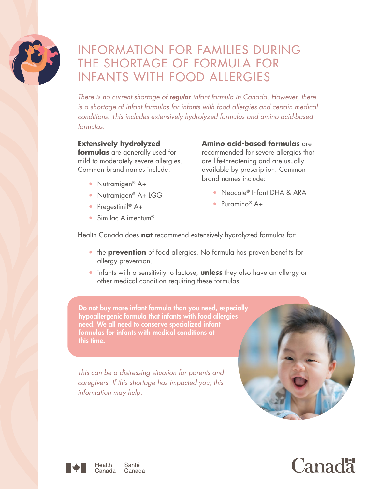

# INFORMATION FOR FAMILIES DURING THE SHORTAGE OF FORMULA FOR INFANTS WITH FOOD ALLERGIES

*There is no current shortage of regular infant formula in Canada. However, there is a shortage of infant formulas for infants with food allergies and certain medical conditions. This includes extensively hydrolyzed formulas and amino acid-based formulas.*

#### **Extensively hydrolyzed**

**formulas** are generally used for mild to moderately severe allergies. Common brand names include:

- Nutramigen<sup>®</sup> A+
- Nutramigen<sup>®</sup> A+ LGG
- Pregestimil<sup>®</sup>  $A+$
- Similac Alimentum<sup>®</sup>

**Amino acid-based formulas** are recommended for severe allergies that are life-threatening and are usually available by prescription. Common brand names include:

- Neocate® Infant DHA & ARA
- Puramino<sup>®</sup>  $A+$

Health Canada does **not** recommend extensively hydrolyzed formulas for:

- **the prevention** of food allergies. No formula has proven benefits for allergy prevention.
- y infants with a sensitivity to lactose, **unless** they also have an allergy or other medical condition requiring these formulas.

Do not buy more infant formula than you need, especially hypoallergenic formula that infants with food allergies need. We all need to conserve specialized infant formulas for infants with medical conditions at this time.

*This can be a distressing situation for parents and caregivers. If this shortage has impacted you, this information may help.* 





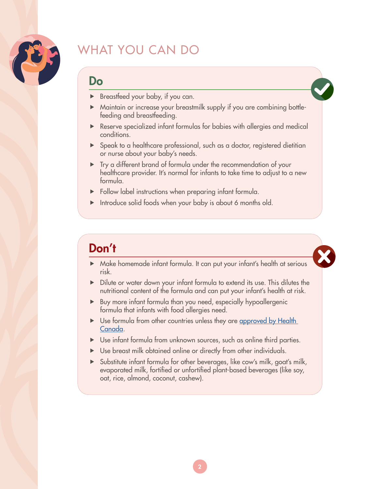

# WHAT YOU CAN DO

### Do

- Breastfeed your baby, if you can.
- Maintain or increase your breastmilk supply if you are combining bottlefeeding and breastfeeding.
- $\blacktriangleright$  Reserve specialized infant formulas for babies with allergies and medical conditions.
- $\triangleright$  Speak to a healthcare professional, such as a doctor, registered dietitian or nurse about your baby's needs.
- $\triangleright$  Try a different brand of formula under the recommendation of your healthcare provider. It's normal for infants to take time to adjust to a new formula.
- $\blacktriangleright$  Follow label instructions when preparing infant formula.
- $\blacktriangleright$  Introduce solid foods when your baby is about 6 months old.

# Don't

- A Make homemade infant formula. It can put your infant's health at serious risk.
- $\triangleright$  Dilute or water down your infant formula to extend its use. This dilutes the nutritional content of the formula and can put your infant's health at risk.
- $\triangleright$  Buy more infant formula than you need, especially hypoallergenic formula that infants with food allergies need.
- $\triangleright$  Use formula from other countries unless they are approved by Health [Canada.](https://tinyurl.com/5n7r6d53)
- $\triangleright$  Use infant formula from unknown sources, such as online third parties.
- $\triangleright$  Use breast milk obtained online or directly from other individuals.
- $\triangleright$  Substitute infant formula for other beverages, like cow's milk, goat's milk, evaporated milk, fortified or unfortified plant-based beverages (like soy, oat, rice, almond, coconut, cashew).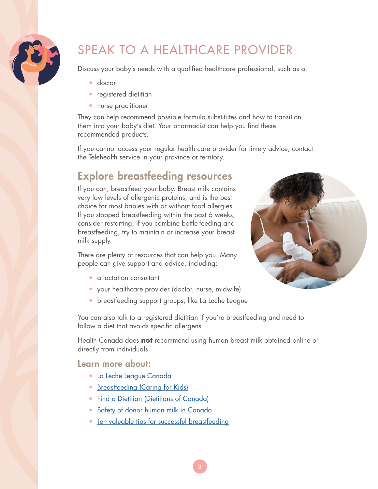

# SPEAK TO A HEALTHCARE PROVIDER

Discuss your baby's needs with a qualified healthcare professional, such as a:

- $\bullet$  doctor
- registered dietitian
- nurse practitioner

They can help recommend possible formula substitutes and how to transition them into your baby's diet. Your pharmacist can help you find these recommended products.

If you cannot access your regular health care provider for timely advice, contact the Telehealth service in your province or territory.

### Explore breastfeeding resources

If you can, breastfeed your baby. Breast milk contains very low levels of allergenic proteins, and is the best choice for most babies with or without food allergies. If you stopped breastfeeding within the past 6 weeks, consider restarting. If you combine bottle-feeding and breastfeeding, try to maintain or increase your breast milk supply.

There are plenty of resources that can help you. Many people can give support and advice, including:

- a lactation consultant
- your healthcare provider (doctor, nurse, midwife)
- breastfeeding support groups, like La Leche League

You can also talk to a registered dietitian if you're breastfeeding and need to follow a diet that avoids specific allergens.

Health Canada does **not** recommend using human breast milk obtained online or directly from individuals.

### Learn more about:

- y [La Leche League Canada](https://www.lllc.ca/get-help)
- [Breastfeeding \(Caring for Kids\)](https://caringforkids.cps.ca/handouts/pregnancy-and-babies/breastfeeding#:~:text=The%20Canadian%20Paediatric%20Society%20recommends,well%20into%20the%20toddler%20years.)
- [Find a Dietitian \(Dietitians of Canada\)](https://members.dietitians.ca/DCMember/s/find-dietitian?language=en_US)
- [Safety of donor human milk in Canada](https://www.canada.ca/en/health-canada/services/canada-food-guide/resources/infant-feeding/safety-donor-human-milk-canada.html)
- [Ten valuable tips for successful breastfeeding](https://www.canada.ca/en/public-health/services/health-promotion/childhood-adolescence/stages-childhood/infancy-birth-two-years/breastfeeding-infant-nutrition/valuable-tips-successful-breastfeeding.html
)

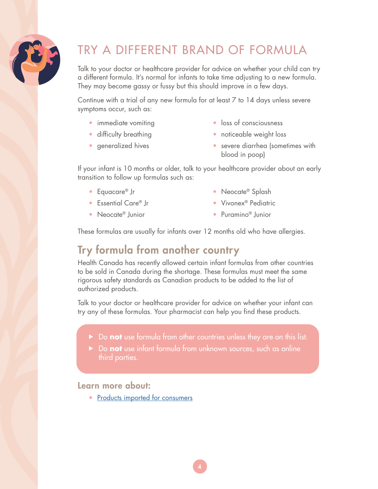

# TRY A DIFFERENT BRAND OF FORMULA

Talk to your doctor or healthcare provider for advice on whether your child can try a different formula. It's normal for infants to take time adjusting to a new formula. They may become gassy or fussy but this should improve in a few days.

Continue with a trial of any new formula for at least 7 to 14 days unless severe symptoms occur, such as:

- immediate vomiting
- difficulty breathing
- generalized hives
- loss of consciousness
- noticeable weight loss
- severe diarrhea (sometimes with blood in poop)

If your infant is 10 months or older, talk to your healthcare provider about an early transition to follow up formulas such as:

● Equacare<sup>®</sup> Jr

• Neocate® Splash

● Essential Care® Jr

● Vivonex<sup>®</sup> Pediatric ● Puramino<sup>®</sup> Junior

- Neocate<sup>®</sup> Iunior
- 

These formulas are usually for infants over 12 months old who have allergies.

### Try formula from another country

Health Canada has recently allowed certain infant formulas from other countries to be sold in Canada during the shortage. These formulas must meet the same rigorous safety standards as Canadian products to be added to the list of authorized products.

Talk to your doctor or healthcare provider for advice on whether your infant can try any of these formulas. Your pharmacist can help you find these products.

- Do **not** use formula from other countries unless they are on this list.
- **F** Do **not** use infant formula from unknown sources, such as online third parties.

### Learn more about:

• [Products imported for consumers](https://www.canada.ca/en/health-canada/services/food-nutrition/legislation-guidelines/policies/interim-policy-importation-sale-infant-formula-human-milk-fortifiers-metabolic-products.html#s7)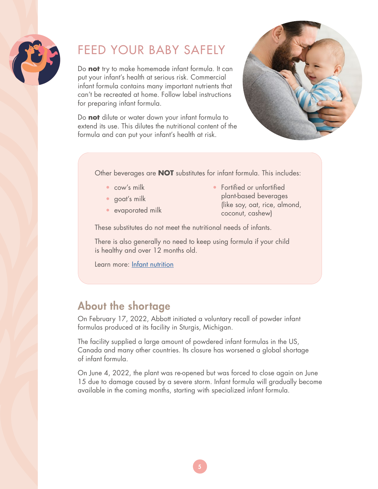

# FEED YOUR BABY SAFELY

Do **not** try to make homemade infant formula. It can put your infant's health at serious risk. Commercial infant formula contains many important nutrients that can't be recreated at home. Follow label instructions for preparing infant formula.

Do **not** dilute or water down your infant formula to extend its use. This dilutes the nutritional content of the formula and can put your infant's health at risk.



Other beverages are **NOT** substitutes for infant formula. This includes:

- $\bullet$  cow's milk
- goat's milk
- evaporated milk

• Fortified or unfortified plant-based beverages (like soy, oat, rice, almond, coconut, cashew)

These substitutes do not meet the nutritional needs of infants.

There is also generally no need to keep using formula if your child is healthy and over 12 months old.

Learn more: [Infant nutrition](https://www.canada.ca/en/health-canada/services/infant-care/infant-nutrition.html)

### About the shortage

On February 17, 2022, Abbott initiated a voluntary recall of powder infant formulas produced at its facility in Sturgis, Michigan.

The facility supplied a large amount of powdered infant formulas in the US, Canada and many other countries. Its closure has worsened a global shortage of infant formula.

On June 4, 2022, the plant was re-opened but was forced to close again on June 15 due to damage caused by a severe storm. Infant formula will gradually become available in the coming months, starting with specialized infant formula.